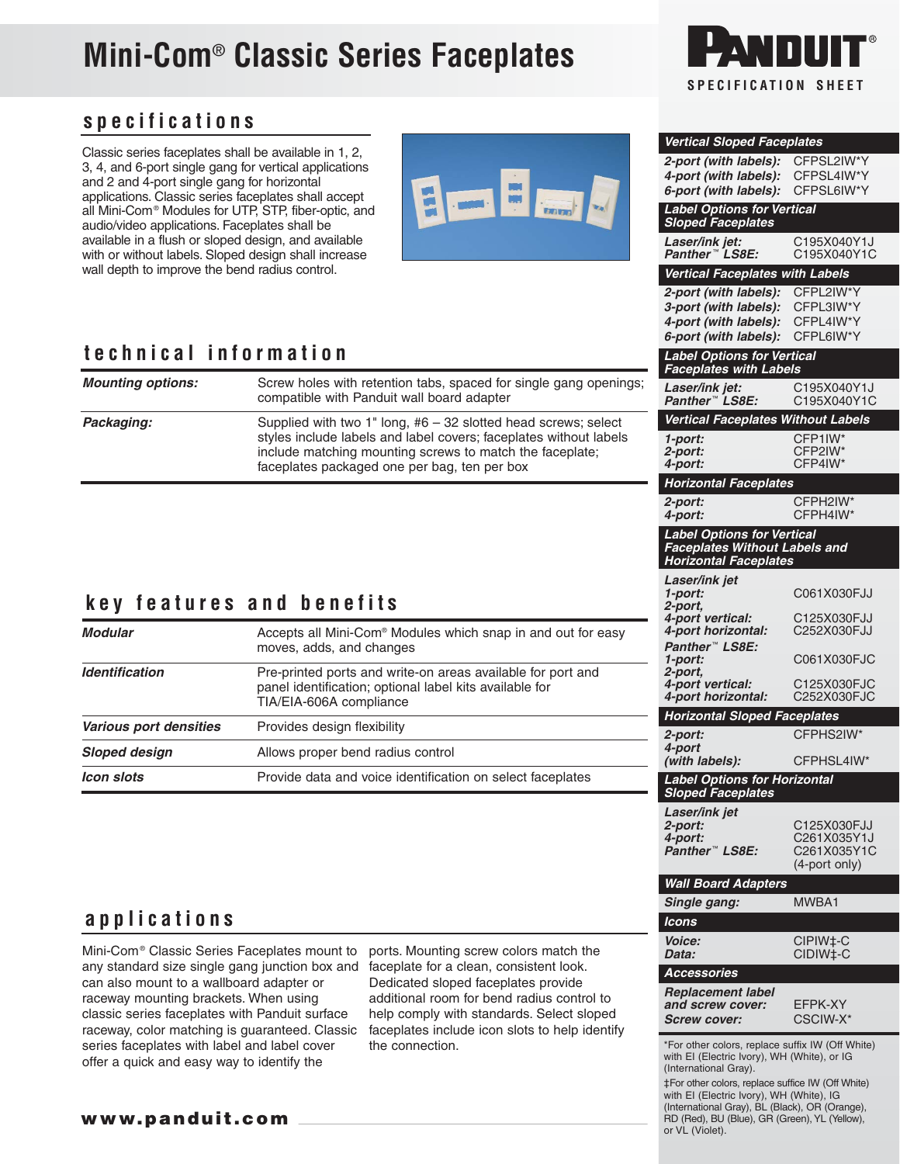## **Mini-Com**® **Classic Series Faceplates**

# **SPECIFICATION SHEET**

**Vertical Sloped Faceplates 2-port (with labels):** CFPSL2IW\*Y **4-port (with labels):** CFPSL4IW\*Y **6-port (with labels):** CFPSL6IW\*Y

**Label Options for Vertical Sloped Faceplates**

**4-port (with labels):** 

**Laser/ink jet:** C195X040Y1J **Panther** ™ **LS8E:** C195X040Y1C **Vertical Faceplates with Labels 2-port (with labels):** CFPL2IW\*Y **3-port (with labels):** CFPL3IW\*Y

**6-port (with labels):** CFPL6IW\*Y

#### **specifications**

Classic series faceplates shall be available in 1, 2, 3, 4, and 6-port single gang for vertical applications and 2 and 4-port single gang for horizontal applications. Classic series faceplates shall accept all Mini-Com® Modules for UTP, STP, fiber-optic, and audio/video applications. Faceplates shall be available in a flush or sloped design, and available with or without labels. Sloped design shall increase wall depth to improve the bend radius control.



#### **technical information**

| technical information     | <b>Label Options for Vertical</b><br><b>Faceplates with Labels</b>                                                                                                            |                                                                                                           |                                           |  |
|---------------------------|-------------------------------------------------------------------------------------------------------------------------------------------------------------------------------|-----------------------------------------------------------------------------------------------------------|-------------------------------------------|--|
| <b>Mounting options:</b>  | Screw holes with retention tabs, spaced for single gang openings;<br>compatible with Panduit wall board adapter                                                               | Laser/ink jet:<br>Panther™ LS8E:                                                                          | C195X040Y1J<br>C195X040Y1C                |  |
| Packaging:                | Supplied with two 1" long, $#6 - 32$ slotted head screws; select                                                                                                              | <b>Vertical Faceplates Without Labels</b>                                                                 |                                           |  |
|                           | styles include labels and label covers; faceplates without labels<br>include matching mounting screws to match the faceplate;<br>faceplates packaged one per bag, ten per box | 1-port:<br>2-port:<br>4-port:                                                                             | CFP1IW*<br>CFP2IW*<br>CFP4IW*             |  |
|                           |                                                                                                                                                                               | <b>Horizontal Faceplates</b>                                                                              |                                           |  |
|                           |                                                                                                                                                                               | 2-port:<br>4-port:                                                                                        | CFPH2IW*<br>CFPH4IW*                      |  |
|                           |                                                                                                                                                                               | <b>Label Options for Vertical</b><br><b>Faceplates Without Labels and</b><br><b>Horizontal Faceplates</b> |                                           |  |
| key features and benefits | Laser/ink jet<br>1-port:<br>2-port.<br>4-port vertical:                                                                                                                       | C061X030FJJ<br>C125X030FJJ                                                                                |                                           |  |
| <b>Modular</b>            | Accepts all Mini-Com <sup>®</sup> Modules which snap in and out for easy<br>moves, adds, and changes                                                                          | 4-port horizontal:<br>Panther™ LS8E:                                                                      | C252X030FJJ                               |  |
| <b>Identification</b>     | Pre-printed ports and write-on areas available for port and<br>panel identification; optional label kits available for<br>TIA/EIA-606A compliance                             | 1-port:<br>2-port.<br>4-port vertical:<br>4-port horizontal:                                              | C061X030FJC<br>C125X030FJC<br>C252X030FJC |  |
|                           |                                                                                                                                                                               | <b>Horizontal Sloped Faceplates</b>                                                                       |                                           |  |
| Various port densities    | Provides design flexibility                                                                                                                                                   | 2-port:                                                                                                   | CFPHS2IW*                                 |  |
| <b>Sloped design</b>      | Allows proper bend radius control                                                                                                                                             | 4-port<br>(with labels):                                                                                  | CFPHSL4IW*                                |  |
| <b>Icon slots</b>         | Provide data and voice identification on select faceplates                                                                                                                    | <b>Label Options for Horizontal</b>                                                                       |                                           |  |

| applications |  |  |  |  |  |  |
|--------------|--|--|--|--|--|--|
|              |  |  |  |  |  |  |

Mini-Com® Classic Series Faceplates mount to any standard size single gang junction box and can also mount to a wallboard adapter or raceway mounting brackets. When using classic series faceplates with Panduit surface raceway, color matching is guaranteed. Classic series faceplates with label and label cover offer a quick and easy way to identify the

ports. Mounting screw colors match the faceplate for a clean, consistent look. Dedicated sloped faceplates provide additional room for bend radius control to help comply with standards. Select sloped faceplates include icon slots to help identify the connection.

| ו וטער ו<br>2-port.                                                                             | <u>UUU LAUJUFJU</u>                                        |
|-------------------------------------------------------------------------------------------------|------------------------------------------------------------|
| 4-port vertical:<br>4-port horizontal:                                                          | C125X030FJC<br>C252X030FJC                                 |
| <b>Horizontal Sloped Faceplates</b>                                                             |                                                            |
| 2-port:<br>4-port                                                                               | CFPHS2IW*                                                  |
| (with labels):                                                                                  | CFPHSL4IW*                                                 |
| <b>Label Options for Horizontal</b><br><b>Sloped Faceplates</b>                                 |                                                            |
| Laser/ink jet<br>2-port:<br>4-port:<br>Panther™ LS8E:                                           | C125X030FJJ<br>C261X035Y1J<br>C261X035Y1C<br>(4-port only) |
| Wall Board Adapters                                                                             |                                                            |
| Single gang:                                                                                    | MWBA1                                                      |
| Icons                                                                                           |                                                            |
| Voice:<br>Data:                                                                                 | CIPIW <sub>‡</sub> -C<br>CIDIW <sub>‡</sub> -C             |
| <b>Accessories</b>                                                                              |                                                            |
| <b>Replacement label</b><br>and screw cover:<br><b>Screw cover:</b>                             | FFPK-XY<br>CSCIW-X*                                        |
| *For other colors, replace suffix IW (Off White)<br>with EI (Electric Ivory), WH (White), or IG |                                                            |

(International Gray). ‡For other colors, replace suffice IW (Off White) with EI (Electric Ivory), WH (White), IG (International Gray), BL (Black), OR (Orange), RD (Red), BU (Blue), GR (Green), YL (Yellow), or VL (Violet).